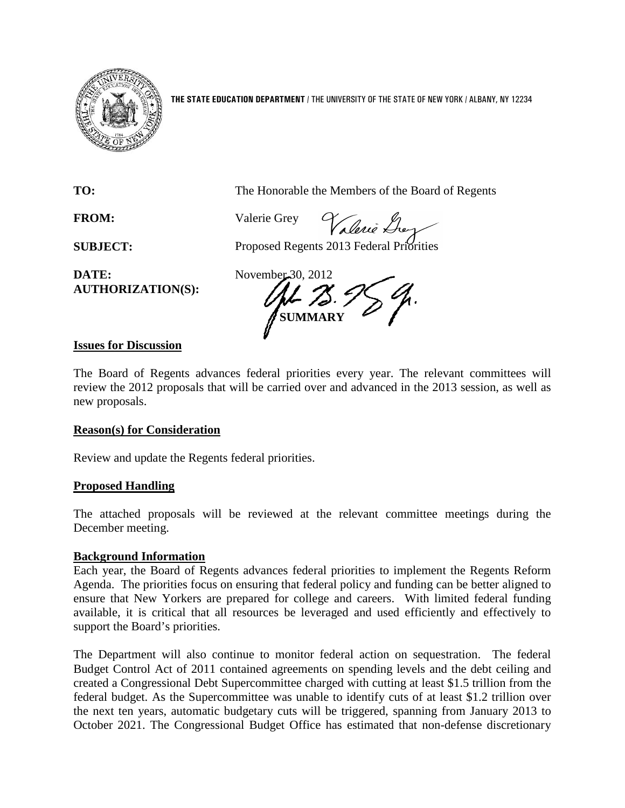

**THE STATE EDUCATION DEPARTMENT** / THE UNIVERSITY OF THE STATE OF NEW YORK / ALBANY, NY 12234

**TO:** The Honorable the Members of the Board of Regents

**FROM:** Valerie Grey

Valerie Grey

**SUBJECT:** Proposed Regents 2013 Federal Priorities

**DATE:** November 30, 2012 **AUTHORIZATION(S):**

**SUMMARY**

## **Issues for Discussion**

The Board of Regents advances federal priorities every year. The relevant committees will review the 2012 proposals that will be carried over and advanced in the 2013 session, as well as new proposals.

## **Reason(s) for Consideration**

Review and update the Regents federal priorities.

## **Proposed Handling**

The attached proposals will be reviewed at the relevant committee meetings during the December meeting.

### **Background Information**

Each year, the Board of Regents advances federal priorities to implement the Regents Reform Agenda. The priorities focus on ensuring that federal policy and funding can be better aligned to ensure that New Yorkers are prepared for college and careers. With limited federal funding available, it is critical that all resources be leveraged and used efficiently and effectively to support the Board's priorities.

The Department will also continue to monitor federal action on sequestration. The federal Budget Control Act of 2011 contained agreements on spending levels and the debt ceiling and created a Congressional Debt Supercommittee charged with cutting at least \$1.5 trillion from the federal budget. As the Supercommittee was unable to identify cuts of at least \$1.2 trillion over the next ten years, automatic budgetary cuts will be triggered, spanning from January 2013 to October 2021. The Congressional Budget Office has estimated that non-defense discretionary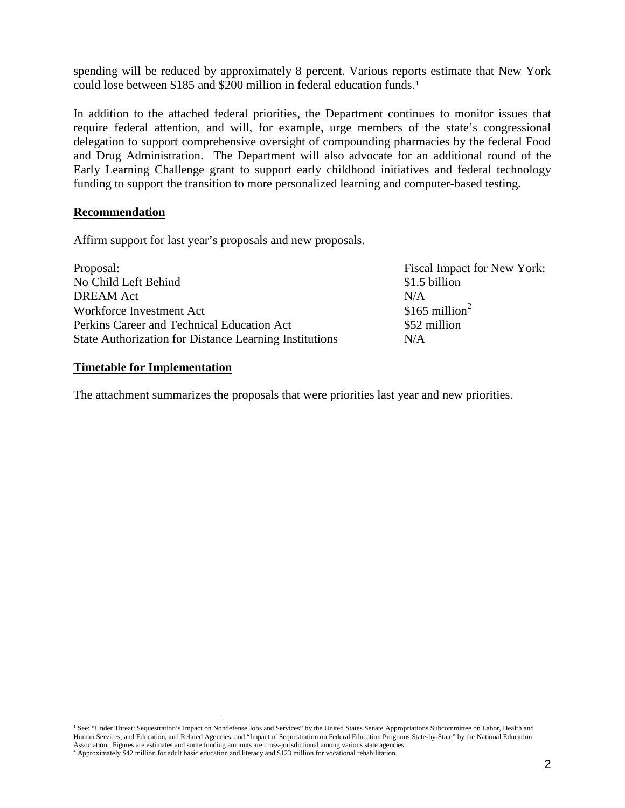spending will be reduced by approximately 8 percent. Various reports estimate that New York could lose between \$[1](#page-1-0)85 and \$200 million in federal education funds.<sup>1</sup>

In addition to the attached federal priorities, the Department continues to monitor issues that require federal attention, and will, for example, urge members of the state's congressional delegation to support comprehensive oversight of compounding pharmacies by the federal Food and Drug Administration. The Department will also advocate for an additional round of the Early Learning Challenge grant to support early childhood initiatives and federal technology funding to support the transition to more personalized learning and computer-based testing.

### **Recommendation**

Affirm support for last year's proposals and new proposals.

| Fiscal Impact for New York: |
|-----------------------------|
| \$1.5 billion               |
| N/A                         |
| \$165 million <sup>2</sup>  |
| \$52 million                |
| N/A                         |
|                             |

## **Timetable for Implementation**

The attachment summarizes the proposals that were priorities last year and new priorities.

<span id="page-1-0"></span><sup>&</sup>lt;sup>1</sup> See: "Under Threat: Sequestration's Impact on Nondefense Jobs and Services" by the United States Senate Appropriations Subcommittee on Labor, Health and Human Services, and Education, and Related Agencies, and "Impact of Sequestration on Federal Education Programs State-by-State" by the National Education Association. Figures are estimates and some funding amounts are cross-jurisdictional among various state agencies.  $2$  Approximately \$42 million for adult basic education and literacy and \$123 million for vocational rehab

<span id="page-1-1"></span>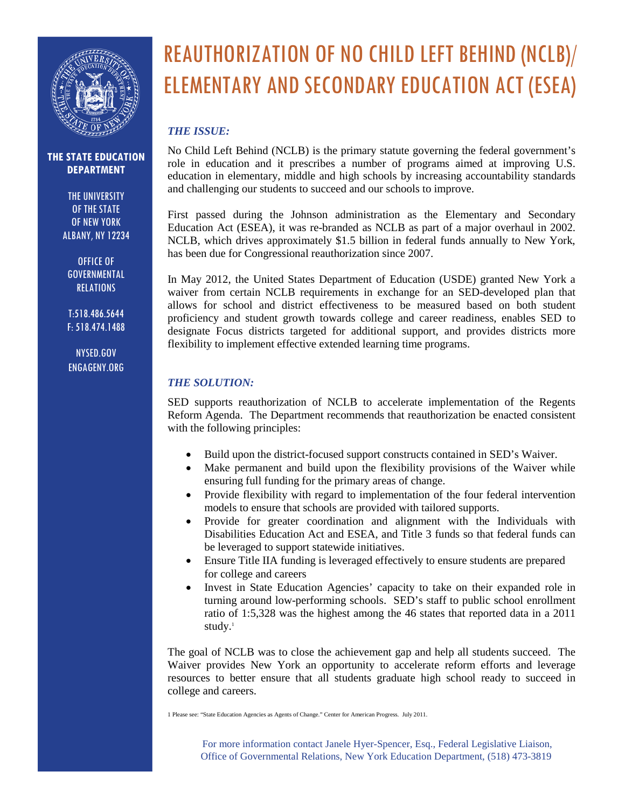

THE UNIVERSITY OF THE STATE OF NEW YORK ALBANY, NY 12234

OFFICE OF GOVERNMENTAL RELATIONS

T:518.486.5644 F: 518.474.1488

NYSED.GOV ENGAGENY.ORG

## REAUTHORIZATION OF NO CHILD LEFT BEHIND (NCLB)/ ELEMENTARY AND SECONDARY EDUCATION ACT (ESEA)

## *THE ISSUE:*

No Child Left Behind (NCLB) is the primary statute governing the federal government's role in education and it prescribes a number of programs aimed at improving U.S. education in elementary, middle and high schools by increasing accountability standards and challenging our students to succeed and our schools to improve.

First passed during the Johnson administration as the Elementary and Secondary Education Act (ESEA), it was re-branded as NCLB as part of a major overhaul in 2002. NCLB, which drives approximately \$1.5 billion in federal funds annually to New York, has been due for Congressional reauthorization since 2007.

In May 2012, the United States Department of Education (USDE) granted New York a waiver from certain NCLB requirements in exchange for an SED-developed plan that allows for school and district effectiveness to be measured based on both student proficiency and student growth towards college and career readiness, enables SED to designate Focus districts targeted for additional support, and provides districts more flexibility to implement effective extended learning time programs.

## *THE SOLUTION:*

SED supports reauthorization of NCLB to accelerate implementation of the Regents Reform Agenda. The Department recommends that reauthorization be enacted consistent with the following principles:

- Build upon the district-focused support constructs contained in SED's Waiver.
- Make permanent and build upon the flexibility provisions of the Waiver while ensuring full funding for the primary areas of change.
- Provide flexibility with regard to implementation of the four federal intervention models to ensure that schools are provided with tailored supports.
- Provide for greater coordination and alignment with the Individuals with Disabilities Education Act and ESEA, and Title 3 funds so that federal funds can be leveraged to support statewide initiatives.
- Ensure Title IIA funding is leveraged effectively to ensure students are prepared for college and careers
- Invest in State Education Agencies' capacity to take on their expanded role in turning around low-performing schools. SED's staff to public school enrollment ratio of 1:5,328 was the highest among the 46 states that reported data in a 2011 study.<sup>1</sup>

The goal of NCLB was to close the achievement gap and help all students succeed. The Waiver provides New York an opportunity to accelerate reform efforts and leverage resources to better ensure that all students graduate high school ready to succeed in college and careers.

1 Please see: "State Education Agencies as Agents of Change." Center for American Progress. July 2011.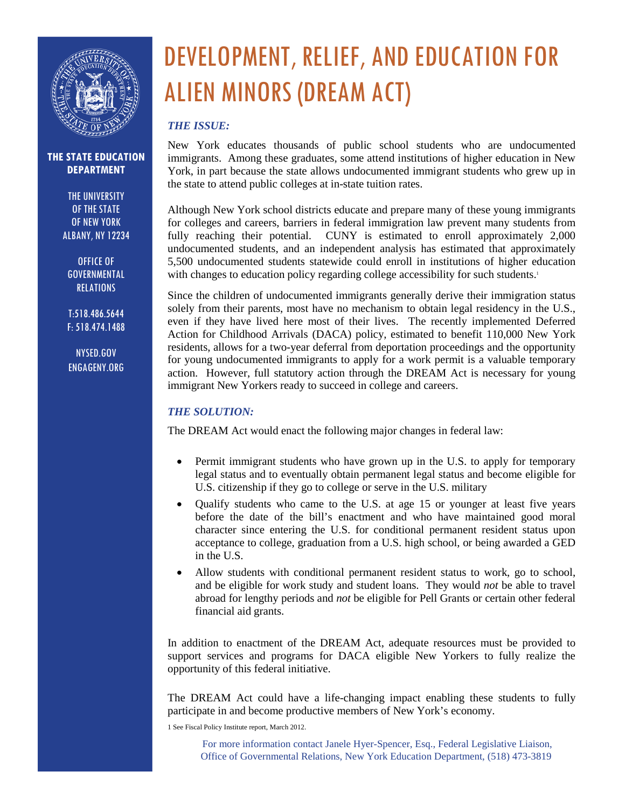

THE UNIVERSITY OF THE STATE OF NEW YORK ALBANY, NY 12234

OFFICE OF GOVERNMENTAL RELATIONS

T:518.486.5644 F: 518.474.1488

NYSED.GOV ENGAGENY.ORG

# DEVELOPMENT, RELIEF, AND EDUCATION FOR ALIEN MINORS (DREAM ACT)

## *THE ISSUE:*

New York educates thousands of public school students who are undocumented immigrants. Among these graduates, some attend institutions of higher education in New York, in part because the state allows undocumented immigrant students who grew up in the state to attend public colleges at in-state tuition rates.

Although New York school districts educate and prepare many of these young immigrants for colleges and careers, barriers in federal immigration law prevent many students from fully reaching their potential. CUNY is estimated to enroll approximately 2,000 undocumented students, and an independent analysis has estimated that approximately 5,500 undocumented students statewide could enroll in institutions of higher education with changes to education policy regarding college accessibility for such students.<sup>1</sup>

Since the children of undocumented immigrants generally derive their immigration status solely from their parents, most have no mechanism to obtain legal residency in the U.S., even if they have lived here most of their lives. The recently implemented Deferred Action for Childhood Arrivals (DACA) policy, estimated to benefit 110,000 New York residents, allows for a two-year deferral from deportation proceedings and the opportunity for young undocumented immigrants to apply for a work permit is a valuable temporary action. However, full statutory action through the DREAM Act is necessary for young immigrant New Yorkers ready to succeed in college and careers.

## *THE SOLUTION:*

The DREAM Act would enact the following major changes in federal law:

- Permit immigrant students who have grown up in the U.S. to apply for temporary legal status and to eventually obtain permanent legal status and become eligible for U.S. citizenship if they go to college or serve in the U.S. military
- Qualify students who came to the U.S. at age 15 or younger at least five years before the date of the bill's enactment and who have maintained good moral character since entering the U.S. for conditional permanent resident status upon acceptance to college, graduation from a U.S. high school, or being awarded a GED in the U.S.
- Allow students with conditional permanent resident status to work, go to school, and be eligible for work study and student loans. They would *not* be able to travel abroad for lengthy periods and *not* be eligible for Pell Grants or certain other federal financial aid grants.

In addition to enactment of the DREAM Act, adequate resources must be provided to support services and programs for DACA eligible New Yorkers to fully realize the opportunity of this federal initiative.

The DREAM Act could have a life-changing impact enabling these students to fully participate in and become productive members of New York's economy.

1 See Fiscal Policy Institute report, March 2012.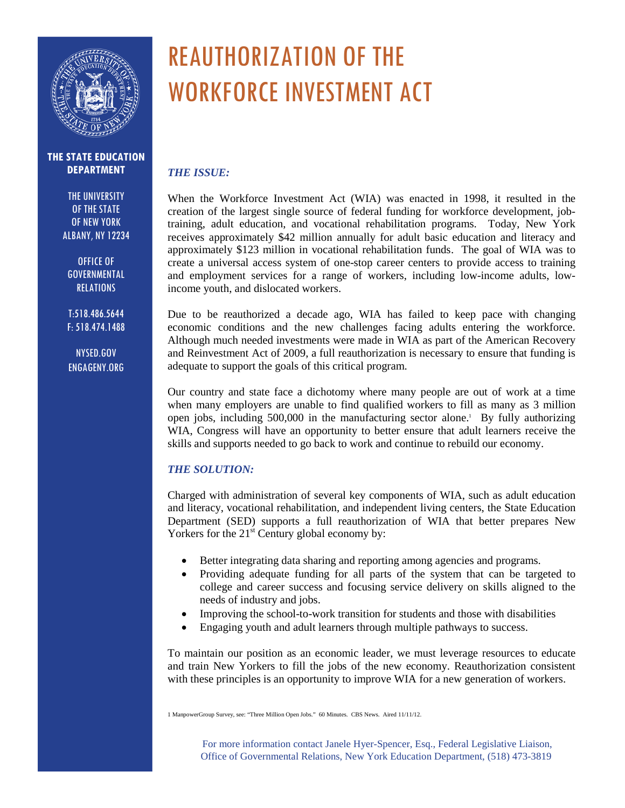

THE UNIVERSITY OF THE STATE OF NEW YORK ALBANY, NY 12234

OFFICE OF GOVERNMENTAL **RELATIONS** 

T:518.486.5644 F: 518.474.1488

NYSED.GOV ENGAGENY.ORG

## REAUTHORIZATION OF THE WORKFORCE INVESTMENT ACT

### *THE ISSUE:*

When the Workforce Investment Act (WIA) was enacted in 1998, it resulted in the creation of the largest single source of federal funding for workforce development, jobtraining, adult education, and vocational rehabilitation programs. Today, New York receives approximately \$42 million annually for adult basic education and literacy and approximately \$123 million in vocational rehabilitation funds. The goal of WIA was to create a universal access system of one-stop career centers to provide access to training and employment services for a range of workers, including low-income adults, lowincome youth, and dislocated workers.

Due to be reauthorized a decade ago, WIA has failed to keep pace with changing economic conditions and the new challenges facing adults entering the workforce. Although much needed investments were made in WIA as part of the American Recovery and Reinvestment Act of 2009, a full reauthorization is necessary to ensure that funding is adequate to support the goals of this critical program.

Our country and state face a dichotomy where many people are out of work at a time when many employers are unable to find qualified workers to fill as many as 3 million open jobs, including 500,000 in the manufacturing sector alone.<sup>1</sup> By fully authorizing WIA, Congress will have an opportunity to better ensure that adult learners receive the skills and supports needed to go back to work and continue to rebuild our economy.

## *THE SOLUTION:*

Charged with administration of several key components of WIA, such as adult education and literacy, vocational rehabilitation, and independent living centers, the State Education Department (SED) supports a full reauthorization of WIA that better prepares New Yorkers for the  $21<sup>st</sup>$  Century global economy by:

- Better integrating data sharing and reporting among agencies and programs.
- Providing adequate funding for all parts of the system that can be targeted to college and career success and focusing service delivery on skills aligned to the needs of industry and jobs.
- Improving the school-to-work transition for students and those with disabilities
- Engaging youth and adult learners through multiple pathways to success.

To maintain our position as an economic leader, we must leverage resources to educate and train New Yorkers to fill the jobs of the new economy. Reauthorization consistent with these principles is an opportunity to improve WIA for a new generation of workers.

1 ManpowerGroup Survey, see: "Three Million Open Jobs." 60 Minutes. CBS News. Aired 11/11/12.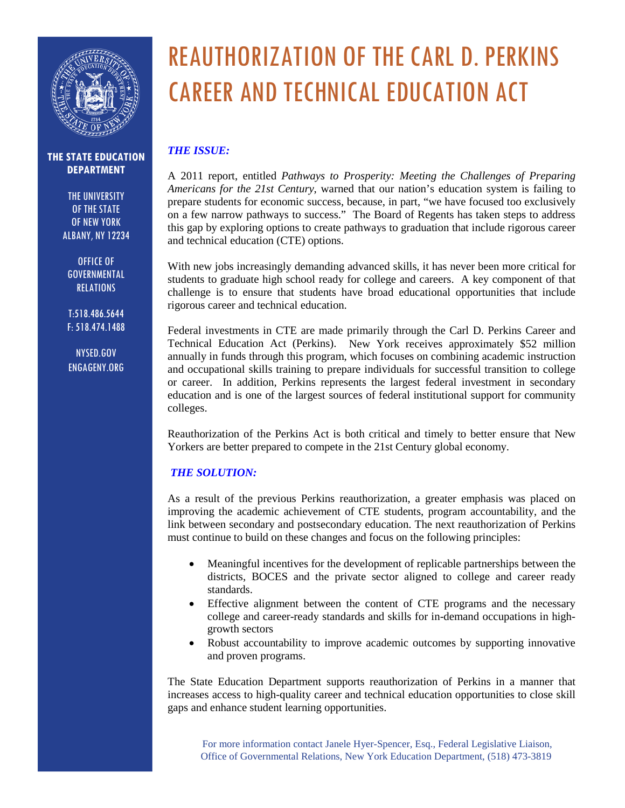

THE UNIVERSITY OF THE STATE OF NEW YORK ALBANY, NY 12234

OFFICE OF GOVERNMENTAL **RELATIONS** 

T:518.486.5644 F: 518.474.1488

NYSED.GOV ENGAGENY.ORG

## REAUTHORIZATION OF THE CARL D. PERKINS CAREER AND TECHNICAL EDUCATION ACT

## *THE ISSUE:*

A 2011 report, entitled *Pathways to Prosperity: Meeting the Challenges of Preparing Americans for the 21st Century*, warned that our nation's education system is failing to prepare students for economic success, because, in part, "we have focused too exclusively on a few narrow pathways to success." The Board of Regents has taken steps to address this gap by exploring options to create pathways to graduation that include rigorous career and technical education (CTE) options.

With new jobs increasingly demanding advanced skills, it has never been more critical for students to graduate high school ready for college and careers. A key component of that challenge is to ensure that students have broad educational opportunities that include rigorous career and technical education.

Federal investments in CTE are made primarily through the Carl D. Perkins Career and Technical Education Act (Perkins). New York receives approximately \$52 million annually in funds through this program, which focuses on combining academic instruction and occupational skills training to prepare individuals for successful transition to college or career. In addition, Perkins represents the largest federal investment in secondary education and is one of the largest sources of federal institutional support for community colleges.

Reauthorization of the Perkins Act is both critical and timely to better ensure that New Yorkers are better prepared to compete in the 21st Century global economy.

## *THE SOLUTION:*

As a result of the previous Perkins reauthorization, a greater emphasis was placed on improving the academic achievement of CTE students, program accountability, and the link between secondary and postsecondary education. The next reauthorization of Perkins must continue to build on these changes and focus on the following principles:

- Meaningful incentives for the development of replicable partnerships between the districts, BOCES and the private sector aligned to college and career ready standards.
- Effective alignment between the content of CTE programs and the necessary college and career-ready standards and skills for in-demand occupations in highgrowth sectors
- Robust accountability to improve academic outcomes by supporting innovative and proven programs.

The State Education Department supports reauthorization of Perkins in a manner that increases access to high-quality career and technical education opportunities to close skill gaps and enhance student learning opportunities.